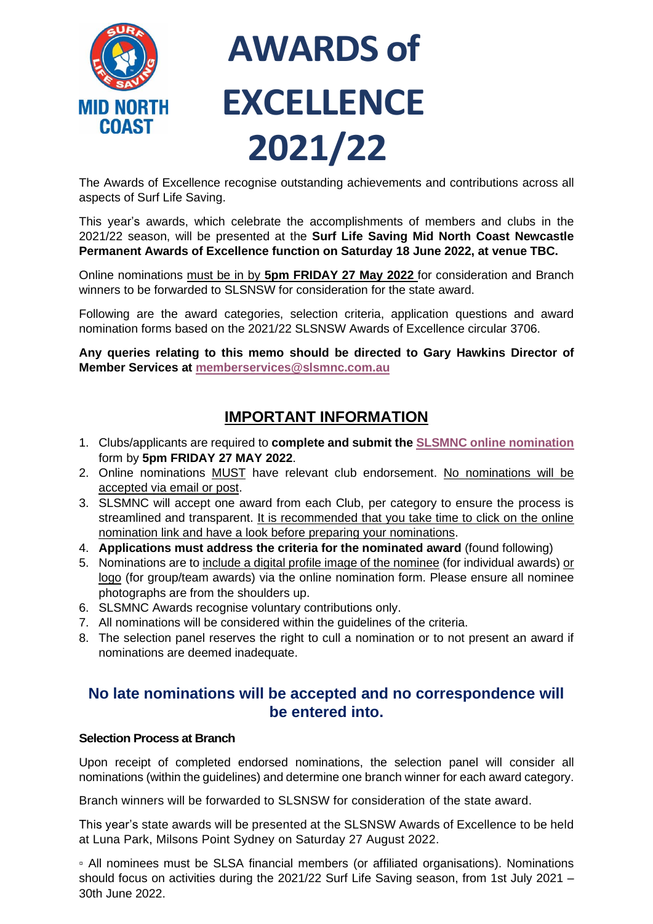

# **AWARDS of EXCELLENCE 2021/22**

The Awards of Excellence recognise outstanding achievements and contributions across all aspects of Surf Life Saving.

This year's awards, which celebrate the accomplishments of members and clubs in the 2021/22 season, will be presented at the **Surf Life Saving Mid North Coast Newcastle Permanent Awards of Excellence function on Saturday 18 June 2022, at venue TBC.**

Online nominations must be in by **5pm FRIDAY 27 May 2022** for consideration and Branch winners to be forwarded to SLSNSW for consideration for the state award.

Following are the award categories, selection criteria, application questions and award nomination forms based on the 2021/22 SLSNSW Awards of Excellence circular 3706.

**Any queries relating to this memo should be directed to Gary Hawkins Director of Member Services at [memberservices@slsmnc.com.au](mailto:memberservices@slsmnc.com.au)**

# **IMPORTANT INFORMATION**

- 1. Clubs/applicants are required to **complete and submit the [SLSMNC online nomination](https://form.jotform.com/220791354707862)** form by **5pm FRIDAY 27 MAY 2022**.
- 2. Online nominations MUST have relevant club endorsement. No nominations will be accepted via email or post.
- 3. SLSMNC will accept one award from each Club, per category to ensure the process is streamlined and transparent. It is recommended that you take time to click on the online nomination link and have a look before preparing your nominations.
- 4. **Applications must address the criteria for the nominated award** (found following)
- 5. Nominations are to include a digital profile image of the nominee (for individual awards) or logo (for group/team awards) via the online nomination form. Please ensure all nominee photographs are from the shoulders up.
- 6. SLSMNC Awards recognise voluntary contributions only.
- 7. All nominations will be considered within the guidelines of the criteria.
- 8. The selection panel reserves the right to cull a nomination or to not present an award if nominations are deemed inadequate.

## **No late nominations will be accepted and no correspondence will be entered into.**

#### **Selection Process at Branch**

Upon receipt of completed endorsed nominations, the selection panel will consider all nominations (within the guidelines) and determine one branch winner for each award category.

Branch winners will be forwarded to SLSNSW for consideration of the state award.

This year's state awards will be presented at the SLSNSW Awards of Excellence to be held at Luna Park, Milsons Point Sydney on Saturday 27 August 2022.

▫ All nominees must be SLSA financial members (or affiliated organisations). Nominations should focus on activities during the 2021/22 Surf Life Saving season, from 1st July 2021 – 30th June 2022.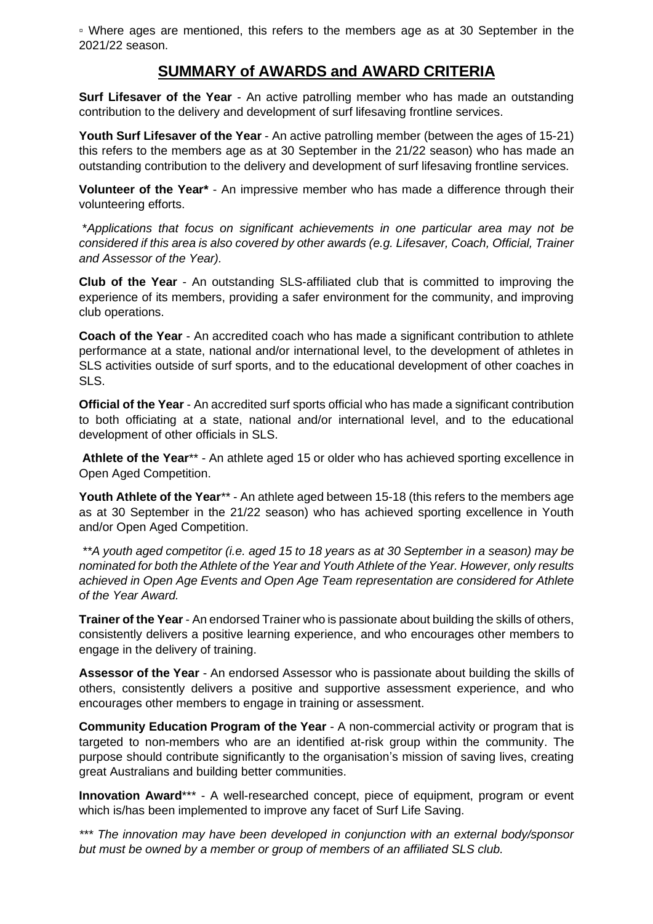▫ Where ages are mentioned, this refers to the members age as at 30 September in the 2021/22 season.

## **SUMMARY of AWARDS and AWARD CRITERIA**

**Surf Lifesaver of the Year** - An active patrolling member who has made an outstanding contribution to the delivery and development of surf lifesaving frontline services.

**Youth Surf Lifesaver of the Year** - An active patrolling member (between the ages of 15-21) this refers to the members age as at 30 September in the 21/22 season) who has made an outstanding contribution to the delivery and development of surf lifesaving frontline services.

**Volunteer of the Year\*** - An impressive member who has made a difference through their volunteering efforts.

\**Applications that focus on significant achievements in one particular area may not be considered if this area is also covered by other awards (e.g. Lifesaver, Coach, Official, Trainer and Assessor of the Year).*

**Club of the Year** - An outstanding SLS-affiliated club that is committed to improving the experience of its members, providing a safer environment for the community, and improving club operations.

**Coach of the Year** - An accredited coach who has made a significant contribution to athlete performance at a state, national and/or international level, to the development of athletes in SLS activities outside of surf sports, and to the educational development of other coaches in SLS.

**Official of the Year** - An accredited surf sports official who has made a significant contribution to both officiating at a state, national and/or international level, and to the educational development of other officials in SLS.

**Athlete of the Year**\*\* - An athlete aged 15 or older who has achieved sporting excellence in Open Aged Competition.

Youth Athlete of the Year<sup>\*\*</sup> - An athlete aged between 15-18 (this refers to the members age as at 30 September in the 21/22 season) who has achieved sporting excellence in Youth and/or Open Aged Competition.

*\*\*A youth aged competitor (i.e. aged 15 to 18 years as at 30 September in a season) may be nominated for both the Athlete of the Year and Youth Athlete of the Year. However, only results achieved in Open Age Events and Open Age Team representation are considered for Athlete of the Year Award.* 

**Trainer of the Year** - An endorsed Trainer who is passionate about building the skills of others, consistently delivers a positive learning experience, and who encourages other members to engage in the delivery of training.

**Assessor of the Year** - An endorsed Assessor who is passionate about building the skills of others, consistently delivers a positive and supportive assessment experience, and who encourages other members to engage in training or assessment.

**Community Education Program of the Year** - A non-commercial activity or program that is targeted to non-members who are an identified at-risk group within the community. The purpose should contribute significantly to the organisation's mission of saving lives, creating great Australians and building better communities.

**Innovation Award\*\*\*** - A well-researched concept, piece of equipment, program or event which is/has been implemented to improve any facet of Surf Life Saving.

*\*\*\* The innovation may have been developed in conjunction with an external body/sponsor but must be owned by a member or group of members of an affiliated SLS club.*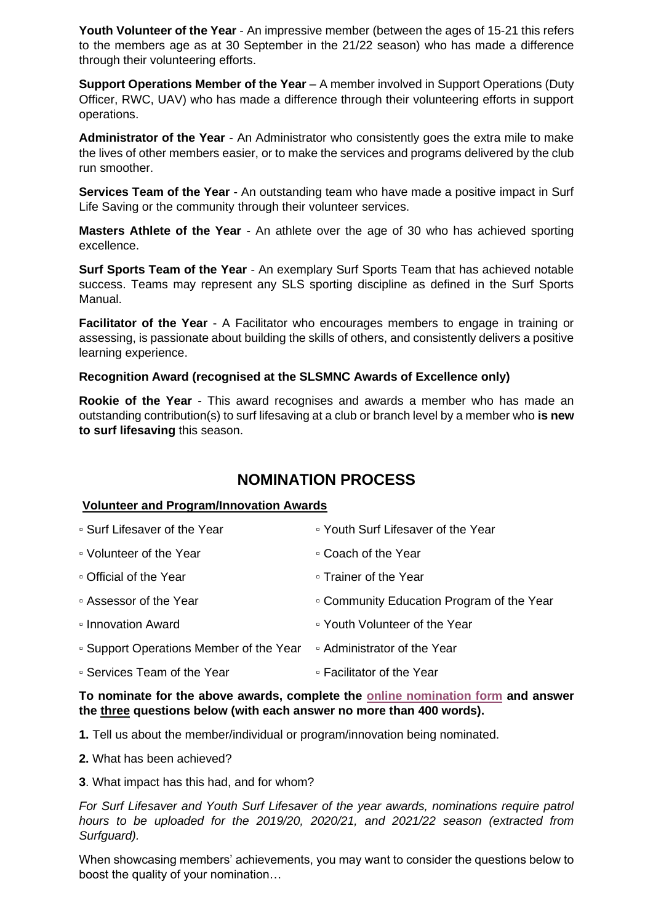**Youth Volunteer of the Year** - An impressive member (between the ages of 15-21 this refers to the members age as at 30 September in the 21/22 season) who has made a difference through their volunteering efforts.

**Support Operations Member of the Year** – A member involved in Support Operations (Duty Officer, RWC, UAV) who has made a difference through their volunteering efforts in support operations.

**Administrator of the Year** - An Administrator who consistently goes the extra mile to make the lives of other members easier, or to make the services and programs delivered by the club run smoother.

**Services Team of the Year** - An outstanding team who have made a positive impact in Surf Life Saving or the community through their volunteer services.

**Masters Athlete of the Year** - An athlete over the age of 30 who has achieved sporting excellence.

**Surf Sports Team of the Year** - An exemplary Surf Sports Team that has achieved notable success. Teams may represent any SLS sporting discipline as defined in the Surf Sports Manual.

**Facilitator of the Year** - A Facilitator who encourages members to engage in training or assessing, is passionate about building the skills of others, and consistently delivers a positive learning experience.

#### **Recognition Award (recognised at the SLSMNC Awards of Excellence only)**

**Rookie of the Year** - This award recognises and awards a member who has made an outstanding contribution(s) to surf lifesaving at a club or branch level by a member who **is new to surf lifesaving** this season.

### **NOMINATION PROCESS**

#### **Volunteer and Program/Innovation Awards**

| • Surf Lifesaver of the Year            | □ Youth Surf Lifesaver of the Year        |
|-----------------------------------------|-------------------------------------------|
| ■ Volunteer of the Year                 | ∘ Coach of the Year                       |
| □ Official of the Year                  | ∘ Trainer of the Year                     |
| ■ Assessor of the Year                  | □ Community Education Program of the Year |
| Innovation Award                        | • Youth Volunteer of the Year             |
| • Support Operations Member of the Year | ■ Administrator of the Year               |
| ■ Services Team of the Year             | ■ Facilitator of the Year                 |

**To nominate for the above awards, complete the [online nomination form](https://form.jotform.com/220791354707862) and answer the three questions below (with each answer no more than 400 words).**

**1.** Tell us about the member/individual or program/innovation being nominated.

- **2.** What has been achieved?
- **3**. What impact has this had, and for whom?

*For Surf Lifesaver and Youth Surf Lifesaver of the year awards, nominations require patrol hours to be uploaded for the 2019/20, 2020/21, and 2021/22 season (extracted from Surfguard).* 

When showcasing members' achievements, you may want to consider the questions below to boost the quality of your nomination…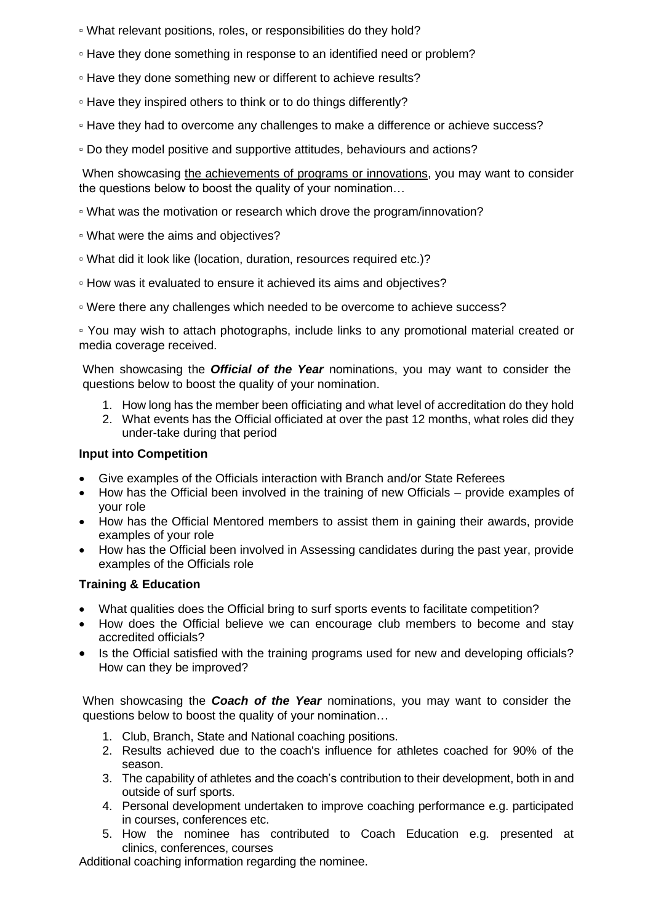▫ What relevant positions, roles, or responsibilities do they hold?

- Have they done something in response to an identified need or problem?
- Have they done something new or different to achieve results?
- Have they inspired others to think or to do things differently?
- Have they had to overcome any challenges to make a difference or achieve success?
- Do they model positive and supportive attitudes, behaviours and actions?

When showcasing the achievements of programs or innovations, you may want to consider the questions below to boost the quality of your nomination…

- What was the motivation or research which drove the program/innovation?
- What were the aims and objectives?
- What did it look like (location, duration, resources required etc.)?
- How was it evaluated to ensure it achieved its aims and objectives?
- Were there any challenges which needed to be overcome to achieve success?

▫ You may wish to attach photographs, include links to any promotional material created or media coverage received.

When showcasing the *Official of the Year* nominations, you may want to consider the questions below to boost the quality of your nomination.

- 1. How long has the member been officiating and what level of accreditation do they hold
- 2. What events has the Official officiated at over the past 12 months, what roles did they under-take during that period

#### **Input into Competition**

- Give examples of the Officials interaction with Branch and/or State Referees
- How has the Official been involved in the training of new Officials provide examples of your role
- How has the Official Mentored members to assist them in gaining their awards, provide examples of your role
- How has the Official been involved in Assessing candidates during the past year, provide examples of the Officials role

#### **Training & Education**

- What qualities does the Official bring to surf sports events to facilitate competition?
- How does the Official believe we can encourage club members to become and stay accredited officials?
- Is the Official satisfied with the training programs used for new and developing officials? How can they be improved?

When showcasing the *Coach of the Year* nominations, you may want to consider the questions below to boost the quality of your nomination…

- 1. Club, Branch, State and National coaching positions.
- 2. Results achieved due to the coach's influence for athletes coached for 90% of the season.
- 3. The capability of athletes and the coach's contribution to their development, both in and outside of surf sports.
- 4. Personal development undertaken to improve coaching performance e.g. participated in courses, conferences etc.
- 5. How the nominee has contributed to Coach Education e.g. presented at clinics, conferences, courses

Additional coaching information regarding the nominee.